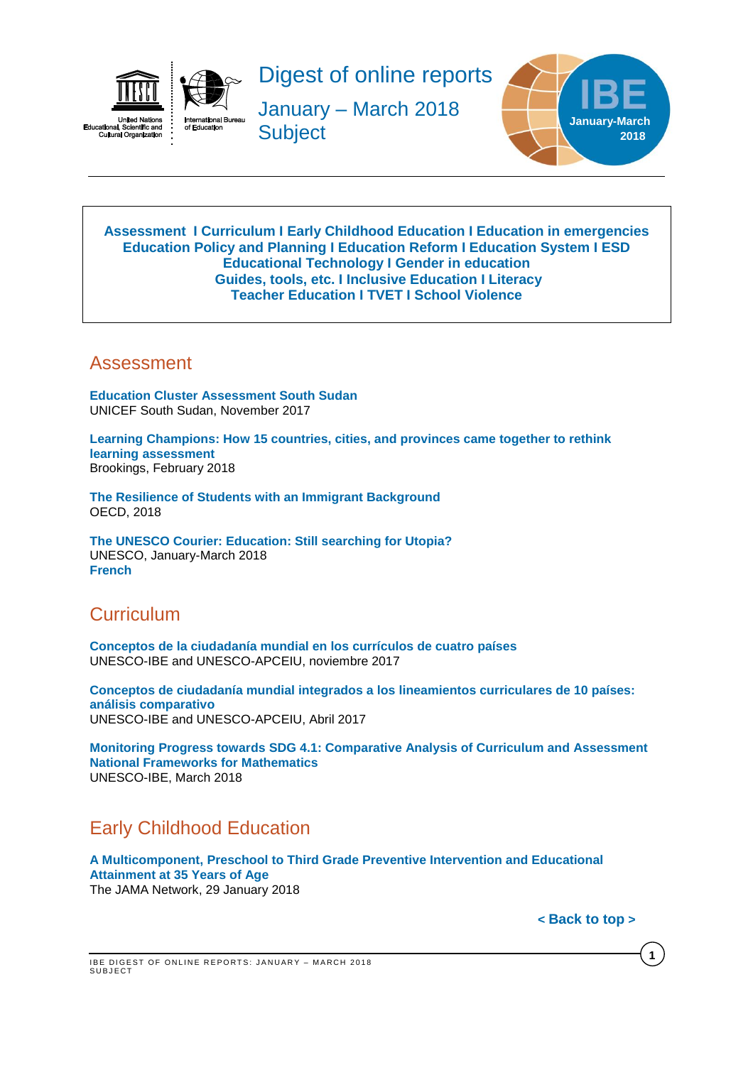

ual, ociel<br>ural Orga Cult

Digest of online reports

January – March 2018 **Subject** 



#### <span id="page-0-3"></span>**[Assessment](#page-0-0) I [Curriculum](#page-0-1) I [Early Childhood Education](#page-0-2) I [Education in emergencies](#page-1-0) [Education Policy and Planning](#page-1-1) I [Education Reform](#page-1-2) I [Education](#page-1-3) System I [ESD](#page-1-4) [Educational Technology](#page-2-0) I [Gender in education](#page-2-1) [Guides,](#page-2-2) tools, etc. I [Inclusive Education](#page-2-3) I [Literacy](#page-2-4) [Teacher Education](#page-2-5) I [TVET](#page-3-0) I [School Violence](#page-3-1)**

#### <span id="page-0-0"></span>Assessment

**[Education Cluster Assessment South Sudan](https://reliefweb.int/sites/reliefweb.int/files/resources/nation-wide_assessment_report_-_ssec_-_2017-11.pdf)** UNICEF South Sudan, November 2017

**[Learning Champions: How 15 countries, cities, and provinces came together to rethink](https://www.brookings.edu/wp-content/uploads/2018/02/learning-champions_final.pdf)  [learning assessment](https://www.brookings.edu/wp-content/uploads/2018/02/learning-champions_final.pdf)** Brookings, February 2018

**[The Resilience of Students with an Immigrant Background](http://www.oecd-ilibrary.org/education/the-resilience-of-students-with-an-immigrant-background_9789264292093-en;jsessionid=2mha4mallo3u0.x-oecd-live-01)** OECD, 2018

**[The UNESCO Courier: Education: Still searching for Utopia?](http://unesdoc.unesco.org/images/0026/002612/261279e.pdf)** UNESCO, January-March 2018 **[French](http://unesdoc.unesco.org/images/0026/002612/261279f.pdf)**

## <span id="page-0-1"></span>**Curriculum**

**[Conceptos de la ciudadanía mundial en los currículos de cuatro países](http://unesdoc.unesco.org/images/0026/002603/260365s.pdf)** UNESCO-IBE and UNESCO-APCEIU, noviembre 2017

**[Conceptos de ciudadanía mundial integrados a los lineamientos curriculares de 10 países:](http://unesdoc.unesco.org/images/0024/002477/247788s.pdf)  [análisis comparativo](http://unesdoc.unesco.org/images/0024/002477/247788s.pdf)** UNESCO-IBE and UNESCO-APCEIU, Abril 2017

**[Monitoring Progress towards SDG 4.1: Comparative Analysis of Curriculum and Assessment](http://unesdoc.unesco.org/images/0026/002616/261675e.pdf)  [National Frameworks for Mathematics](http://unesdoc.unesco.org/images/0026/002616/261675e.pdf)** UNESCO-IBE, March 2018

# <span id="page-0-2"></span>Early Childhood Education

**[A Multicomponent, Preschool to Third Grade Preventive Intervention and Educational](https://jamanetwork.com/journals/jamapediatrics/fullarticle/2668645)  [Attainment at 35 Years of Age](https://jamanetwork.com/journals/jamapediatrics/fullarticle/2668645)** The JAMA Network, 29 January 2018

**< [Back](#page-0-3) to top >**

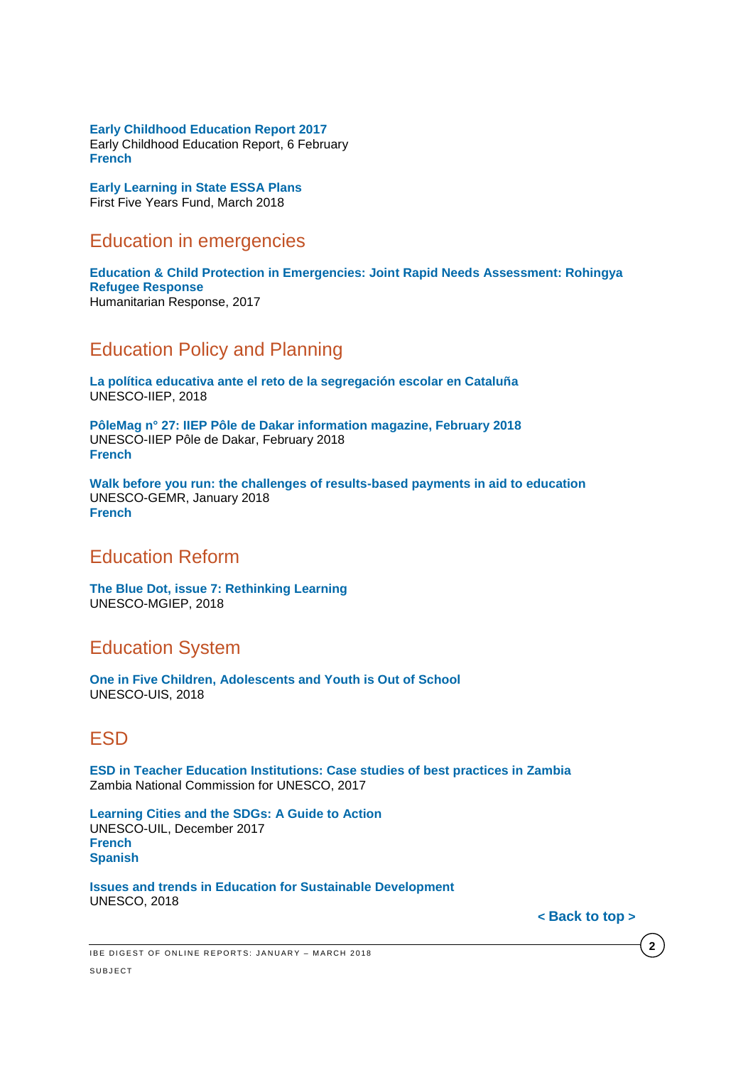**[Early Childhood Education Report 2017](http://ecereport.ca/media/uploads/2017-report-pdfs/ece-report2017-en-feb6.pdf)** Early Childhood Education Report, 6 February **[French](http://ecereport.ca/media/uploads/2017-report-pdfs/ece-report2017-fr-feb6.pdf)**

**[Early Learning in State ESSA Plans](https://ffyf.org/wp-content/uploads/2018/03/Early-Learning-in-State-ESSA-Plans.pdf)** First Five Years Fund, March 2018

#### <span id="page-1-0"></span>Education in emergencies

**[Education & Child Protection in Emergencies: Joint Rapid Needs Assessment: Rohingya](https://reliefweb.int/sites/reliefweb.int/files/resources/eie_cpie_jrna_report_-_rohingya_refugee_response_-_25_january_2018.pdf)  [Refugee Response](https://reliefweb.int/sites/reliefweb.int/files/resources/eie_cpie_jrna_report_-_rohingya_refugee_response_-_25_january_2018.pdf)** Humanitarian Response, 2017

## <span id="page-1-1"></span>Education Policy and Planning

**[La política educativa ante el reto de la segregación escolar en Cataluña](http://unesdoc.unesco.org/images/0026/002614/261471s.pdf)** UNESCO-IIEP, 2018

**[PôleMag n° 27: IIEP Pôle de Dakar information magazine, February 2018](http://unesdoc.unesco.org/images/0026/002614/261492e.pdf)** UNESCO-IIEP Pôle de Dakar, February 2018 **[French](http://unesdoc.unesco.org/images/0026/002614/261492f.pdf)**

**[Walk before you run: the challenges of results-based payments in aid to education](http://unesdoc.unesco.org/images/0026/002611/261149e.pdf)** UNESCO-GEMR, January 2018 **[French](http://unesdoc.unesco.org/images/0026/002611/261149f.pdf)**

#### <span id="page-1-2"></span>Education Reform

**[The Blue Dot, issue 7: Rethinking Learning](http://unesdoc.unesco.org/images/0026/002614/261480e.pdf)** UNESCO-MGIEP, 2018

### <span id="page-1-3"></span>Education System

**[One in Five Children, Adolescents and Youth is Out of School](http://unesdoc.unesco.org/images/0026/002615/261558e.pdf)** UNESCO-UIS, 2018

## <span id="page-1-4"></span>ESD

**[ESD in Teacher Education Institutions: Case studies of best practices in Zambia](http://unesdoc.unesco.org/images/0026/002615/261547e.pdf)** Zambia National Commission for UNESCO, 2017

**[Learning Cities and the SDGs: A Guide to Action](http://unesdoc.unesco.org/images/0026/002604/260442e.pdf)**  UNESCO-UIL, December 2017 **[French](http://unesdoc.unesco.org/images/0026/002605/260559s.pdf) [Spanish](http://unesdoc.unesco.org/images/0026/002605/260559s.pdf)** 

**[Issues and trends in Education for Sustainable Development](http://unesdoc.unesco.org/images/0026/002614/261445e.pdf)** UNESCO, 2018

**< [Back](#page-0-3) to top >**

**2**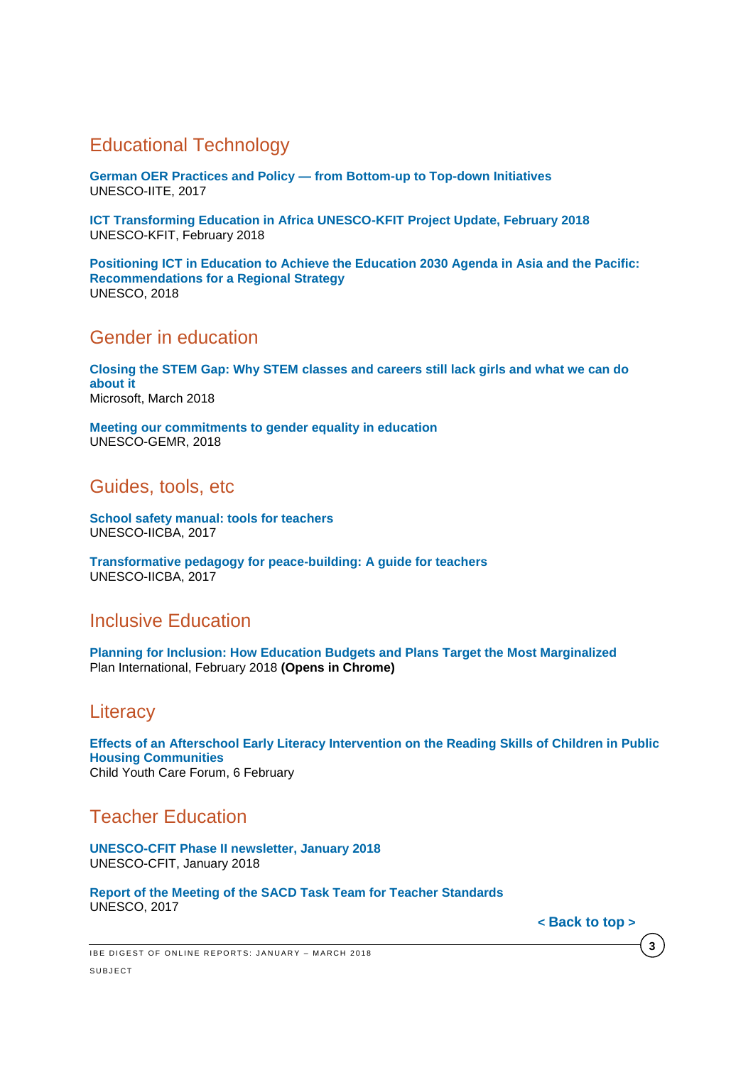## <span id="page-2-0"></span>Educational Technology

**German OER Practices and Policy — [from Bottom-up to Top-down Initiatives](http://unesdoc.unesco.org/images/0026/002614/261446e.pdf)** UNESCO-IITE, 2017

**[ICT Transforming Education in Africa UNESCO-KFIT Project Update, February 2018](http://unesdoc.unesco.org/images/0026/002615/261534e.pdf)** UNESCO-KFIT, February 2018

**[Positioning ICT in Education to Achieve the Education 2030 Agenda in Asia and the Pacific:](http://unesdoc.unesco.org/images/0026/002616/261661e.pdf)  [Recommendations for a Regional Strategy](http://unesdoc.unesco.org/images/0026/002616/261661e.pdf)** UNESCO, 2018

#### <span id="page-2-1"></span>Gender in education

**Closing the [STEM Gap: Why STEM classes and careers still lack girls and what we can do](https://query.prod.cms.rt.microsoft.com/cms/api/am/binary/RE1UMWz)  [about it](https://query.prod.cms.rt.microsoft.com/cms/api/am/binary/RE1UMWz)** Microsoft, March 2018

**[Meeting our commitments to gender equality in education](http://unesdoc.unesco.org/images/0026/002615/261593e.pdf)** UNESCO-GEMR, 2018

<span id="page-2-2"></span>Guides, tools, etc

**[School safety manual: tools for teachers](http://unesdoc.unesco.org/images/0026/002613/261350e.pdf)** UNESCO-IICBA, 2017

**[Transformative pedagogy for peace-building: A guide for teachers](http://unesdoc.unesco.org/images/0026/002613/261349e.pdf)** UNESCO-IICBA, 2017

### <span id="page-2-3"></span>Inclusive Education

**[Planning for Inclusion: How Education Budgets and Plans Target the Most Marginalized](https://plan-international.org/publications/planning-inclusion)** Plan International, February 2018 **(Opens in Chrome)**

#### <span id="page-2-4"></span>**Literacy**

**[Effects of an Afterschool Early Literacy Intervention on the Reading Skills of Children in Public](https://link.springer.com/content/pdf/10.1007%2Fs10566-018-9442-5.pdf)  [Housing Communities](https://link.springer.com/content/pdf/10.1007%2Fs10566-018-9442-5.pdf)** Child Youth Care Forum, 6 February

### <span id="page-2-5"></span>Teacher Education

**[UNESCO-CFIT Phase II newsletter, January 2018](http://unesdoc.unesco.org/images/0026/002612/261280e.pdf)** UNESCO-CFIT, January 2018

**[Report of the Meeting of the SACD Task Team for Teacher Standards](http://unesdoc.unesco.org/images/0026/002616/261627e.pdf)** UNESCO, 2017

**< [Back](#page-0-3) to top >**